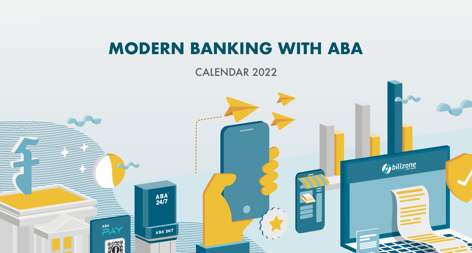# **MODERN BANKING WITH ABA**

CALENDAR 2022

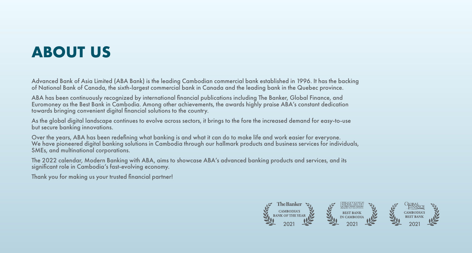# **ABOUT US**

Advanced Bank of Asia Limited (ABA Bank) is the leading Cambodian commercial bank established in 1996. It has the backing of National Bank of Canada, the sixth-largest commercial bank in Canada and the leading bank in the Quebec province.

ABA has been continuously recognized by international financial publications including The Banker, Global Finance, and Euromoney as the Best Bank in Cambodia. Among other achievements, the awards highly praise ABA's constant dedication towards bringing convenient digital financial solutions to the country.

As the global digital landscape continues to evolve across sectors, it brings to the fore the increased demand for easy-to-use but secure banking innovations.

Over the years, ABA has been redefining what banking is and what it can do to make life and work easier for everyone. We have pioneered digital banking solutions in Cambodia through our hallmark products and business services for individuals, SMEs, and multinational corporations.

The 2022 calendar, Modern Banking with ABA, aims to showcase ABA's advanced banking products and services, and its significant role in Cambodia's fast-evolving economy.

Thank you for making us your trusted financial partner!

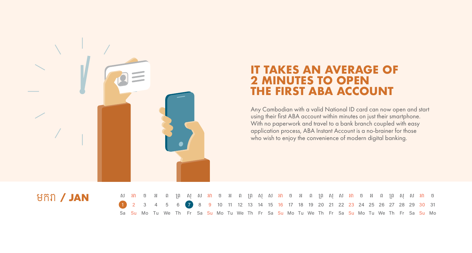

## **IT TAKES AN AVERAGE OF 2 MINUTES TO OPEN THE FIRST ABA ACCOUNT**

Any Cambodian with a valid National ID card can now open and start using their first ABA account within minutes on just their smartphone. With no paperwork and travel to a bank branch coupled with easy application process, ABA Instant Account is a no-brainer for those who wish to enjoy the convenience of modern digital banking.

## មករ / JAN

|                                                                                     |  | ស អា ច អ ព ព្រ សុ ស អា ច អ ព ព្រ សុ ស អា ច អ ព ព្រ សុ ស អា ច អ ព ព្រ សុ ស អា ច               |  |  |  |  |  |  |  |  |  |  |  |  |  |
|-------------------------------------------------------------------------------------|--|----------------------------------------------------------------------------------------------|--|--|--|--|--|--|--|--|--|--|--|--|--|
| 1 2 3 4 5 6 7 8 9 10 11 12 13 14 15 16 17 18 19 20 21 22 23 24 25 26 27 28 29 30 31 |  |                                                                                              |  |  |  |  |  |  |  |  |  |  |  |  |  |
|                                                                                     |  | Sa Su Mo Tu We Th Fr Sa Su Mo Tu We Th Fr Sa Su Mo Tu We Th Fr Sa Su Mo Tu We Th Fr Sa Su Mo |  |  |  |  |  |  |  |  |  |  |  |  |  |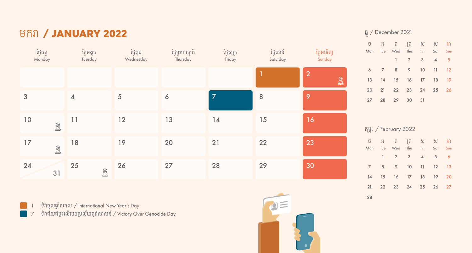## មករា / **JANUARY 2022**

| ថ្ងៃចន្ទ<br>Monday                              | ថ្ងៃអង្គារ<br>Tuesday                   | ថ្ងៃពុធ<br>Wednesday | ថ្ងៃព្រហស្បតិ៍<br>Thursday | ថ្ងៃសុក្រ<br>Friday | ថ្ងៃសៅរ៍<br>Saturday | ថ្ងៃអាទិត្យ<br>Sunday          |
|-------------------------------------------------|-----------------------------------------|----------------------|----------------------------|---------------------|----------------------|--------------------------------|
|                                                 |                                         |                      |                            |                     |                      | $\overline{2}$<br>$\bigotimes$ |
| 3                                               | $\overline{\mathbf{4}}$                 | 5                    | 6                          | $\overline{7}$      | 8                    | 9                              |
| $10$<br>$\textcircled{\ensuremath{\mathbb{R}}}$ | 11                                      | 12                   | 13                         | 14                  | 15                   | 16                             |
| 17<br>$\bigoplus$                               | 18                                      | 19                   | 20                         | 21                  | 22                   | 23                             |
| 24<br>31                                        | 25<br>$\bigoplus\limits_{i=1}^{\infty}$ | 26                   | 27                         | 28                  | 29                   | 30                             |

 $\frac{1}{3}$ ពិចូលឆ្នាំសកល / International New Year's Day

**The Second** 

ទិវ ជ័យជម្ះ�ល�របប�បល័យពូជស សន៍/ Victory Over Genocide Day



#### ធ្ូ/ December 2021

|  | ប៊ អ ព ព្រ សុ ស អា<br>Mon Tue Wed Thu Fri Sat Sun |                                     |  |
|--|---------------------------------------------------|-------------------------------------|--|
|  |                                                   | $1 \quad 2 \quad 3 \quad 4 \quad 5$ |  |
|  | 6 7 8 9 10 11 12                                  |                                     |  |
|  | 13 14 15 16 17 18 19                              |                                     |  |
|  | 20 21 22 23 24 25 26                              |                                     |  |
|  | 27 28 29 30 31                                    |                                     |  |

#### កុម្ៈ / February 2022

|  | ប អ ព ព្រ សុ ស អា                |  |  |
|--|----------------------------------|--|--|
|  | Mon Tue Wed Thu Fri Sat Sun      |  |  |
|  | $1 \t2 \t3 \t4 \t5 \t6$          |  |  |
|  | 7 8 9 10 11 12 13                |  |  |
|  | 14   15   16   17   18   19   20 |  |  |
|  | 21  22  23  24  25  26  27       |  |  |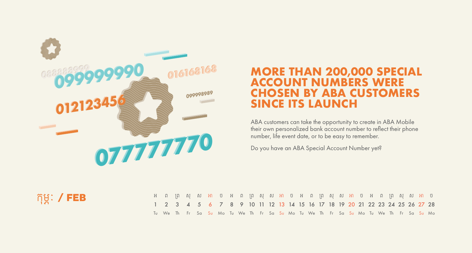

## **MORE THAN 200,000 SPECIAL 016168168 ACCOUNT NUMBERS WERE CHOSEN BY ABA CUSTOMERS SINCE ITS LAUNCH**

ABA customers can take the opportunity to create in ABA Mobile their own personalized bank account number to reflect their phone number, life event date, or to be easy to remember.

Do you have an ABA Special Account Number yet?



|                                                                            | ុ អ ព ព្រ សុ ស អា ច អ ព ព្រ សុ ស អា ច អ ព ព្រ សុ ស អា ច អ ព ព្រ សុ ស អា ច               |  |  |  |  |  |  |  |  |  |  |  |  |  |
|----------------------------------------------------------------------------|-----------------------------------------------------------------------------------------|--|--|--|--|--|--|--|--|--|--|--|--|--|
| 1 2 3 4 5 6 7 8 9 10 11 12 13 14 15 16 17 18 19 20 21 22 23 24 25 26 27 28 |                                                                                         |  |  |  |  |  |  |  |  |  |  |  |  |  |
|                                                                            | Tu We The Fr Sa Su Mo Tu We The Fr Sa Su Mo Tu We The Fr Sa Su Mo Tu We The Fr Sa Su Mo |  |  |  |  |  |  |  |  |  |  |  |  |  |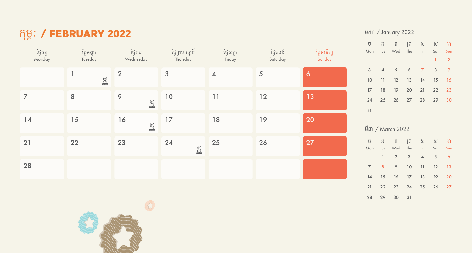## កុម្ៈ / FEBRUARY 2022

| ថ្ងៃចន្ទ<br>Monday | ថ្ងៃអង្គារ<br>Tuesday | ថ្ងៃពុធ<br>Wednesday               | ថ្ងៃព្រហស្បតិ៍<br>Thursday | ថ្ងៃសុក្រ<br>Friday      | ថ្ងៃសៅរ៍<br>Saturday | ថ្ងៃអាទិត្យ<br>Sunday |
|--------------------|-----------------------|------------------------------------|----------------------------|--------------------------|----------------------|-----------------------|
|                    | $\mathbb{R}$          | $\overline{2}$                     | $\mathfrak{3}$             | $\overline{\mathcal{A}}$ | 5                    | $\ddot{\mathbf{6}}$   |
| $\overline{7}$     | 8                     | $\mathsf{\varphi}$<br>$\bigotimes$ | $10$                       | 11                       | 12                   | 13                    |
| 14                 | 15                    | 16<br>L                            | 17                         | 18                       | 19                   | 20                    |
| 21                 | 22                    | 23                                 | 24<br>$\mathbb{R}$         | 25                       | 26                   | 27                    |
| 28                 |                       |                                    |                            |                          |                      |                       |



| ΰ              |                          | អ ព ព្រ សុ ស អា         |                         |                |    |                |
|----------------|--------------------------|-------------------------|-------------------------|----------------|----|----------------|
|                |                          | Mon Tue Wed Thu Fri Sat |                         |                |    | Sun            |
|                |                          |                         |                         |                | 1  | $\overline{2}$ |
| 3              | $\overline{4}$           | $5^{\circ}$             | 6                       | $\overline{7}$ | 8  | 9              |
| 10             | 11                       | 12                      | 13                      | 14             | 15 | 16             |
| 17             |                          | 18 19 20                |                         | 21 22          |    | 23             |
| 24             |                          | 25    26    27    28    |                         |                | 29 | 30             |
| 31             |                          |                         |                         |                |    |                |
|                |                          |                         |                         |                |    |                |
|                |                          | មីនា / March 2022       |                         |                |    |                |
| $\widehat{U}$  |                          | អ ព ព្រ សុ ស អា         |                         |                |    |                |
| Mon            |                          |                         |                         |                |    |                |
|                |                          | Tue Wed Thu             |                         | Fri Sat        |    | Sun            |
|                | $\overline{\phantom{a}}$ | $\overline{2}$          | $\overline{\mathbf{3}}$ | $\overline{4}$ | 5  | $\ddot{\circ}$ |
| $\overline{7}$ | 8                        | $\overline{9}$          | 10                      | 11             | 12 | 13             |
| 14             |                          | 15 16 17                |                         | 18 19          |    | 20             |
| 21             |                          | 22 23 24                |                         | 25             | 26 | 27             |

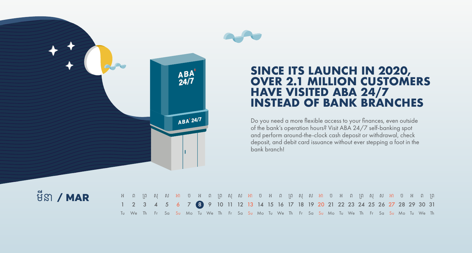

### **SINCE ITS LAUNCH IN 2020, OVER 2.1 MILLION CUSTOMERS HAVE VISITED ABA 24/7 INSTEAD OF BANK BRANCHES**

Do you need a more flexible access to your finances, even outside of the bank's operation hours? Visit ABA 24/7 self-banking spot and perform around-the-clock cash deposit or withdrawal, check deposit, and debit card issuance without ever stepping a foot in the bank branch!

## មីនា **/ MAR**

| ុអព្រុ សុសអា ច អព្រុ សុសអា ច អ ព ព្រ សុ ស អា ច អ ព ព្រ សុ ស អា ច អ ព ព្រ                              |  |  |  |  |  |  |  |  |  |  |  |  |  |  |  |
|-------------------------------------------------------------------------------------------------------|--|--|--|--|--|--|--|--|--|--|--|--|--|--|--|
| 1 2 3 4 5 6 7 8 9 10 11 12 13 14 15 16 17 18 19 20 21 22 23 24 25 26 27 28 29 30 31                   |  |  |  |  |  |  |  |  |  |  |  |  |  |  |  |
| Tu We The Fre Sa Su Mo Tu We The Fre Sa Su Mo Tu We The Fre Sa Su Mo Tu We The Fre Sa Su Mo Tu We The |  |  |  |  |  |  |  |  |  |  |  |  |  |  |  |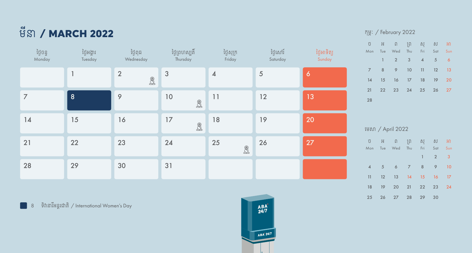# មីន / MARCH 2022

| ថ្ងៃចន្ទ<br>Monday | ថ្ងៃអង្គារ<br>Tuesday | ថ្ងៃពុធ<br>Wednesday                                      | ថ្ងៃព្រហស្បតិ៍<br>Thursday                    | ថ្ងៃសុក្រ<br>Friday                           | ថ្ងៃសៅរ៍<br>Saturday | ថ្ងៃអាទិត្យ<br>Sunday |
|--------------------|-----------------------|-----------------------------------------------------------|-----------------------------------------------|-----------------------------------------------|----------------------|-----------------------|
|                    | 1                     | $\overline{2}$<br>$\textcircled{\ensuremath{\mathbb{R}}}$ | 3                                             | $\overline{\mathcal{A}}$                      | $\sqrt{5}$           | $\boldsymbol{6}$      |
| $\overline{7}$     | 8                     | $\mathcal{P}$                                             | $10$<br>$\bigotimes$                          | 11                                            | 12                   | 13                    |
| 14                 | 15                    | 16                                                        | 17<br>$\textcircled{\ensuremath{\mathbb{R}}}$ | 18                                            | 19                   | 20                    |
| 21                 | 22                    | 23                                                        | 24                                            | 25<br>$\textcircled{\ensuremath{\mathbb{R}}}$ | 26                   | 27                    |
| 28                 | 29                    | 30                                                        | 31                                            |                                               |                      |                       |

8 ទិវានារីអន្តរជាតិ / International Women's Day

 $\frac{\mathsf{ABA}^\mathsf{T}}{24/7}$ ABA'24/7

#### កុម្ៈ / February 2022

|    | ប៊ អ ព ព្រ ស្ ស អា<br>Mon Tue Wed Thu Fri Sat Sun |  |  |
|----|---------------------------------------------------|--|--|
|    | $1 \t2 \t3 \t4 \t5 \t6$                           |  |  |
|    | 7 8 9 10 11 12 13                                 |  |  |
| 14 | 15 16 17 18 19 20                                 |  |  |
|    | 21 22 23 24 25 26 27                              |  |  |
| 28 |                                                   |  |  |

#### �មស / April 2022

|                | ប៊ អ ព ព្រ ស្ ស អា          |  |                     |  |
|----------------|-----------------------------|--|---------------------|--|
|                | Mon Tue Wed Thu Fri Sat Sun |  |                     |  |
|                |                             |  | $1 \quad 2 \quad 3$ |  |
| $\overline{4}$ | 5 6 7 8 9 10                |  |                     |  |
|                | 11 12 13 14 15 16 17        |  |                     |  |
|                | 18 19 20 21 22 23 24        |  |                     |  |
|                | 25 26 27 28 29 30           |  |                     |  |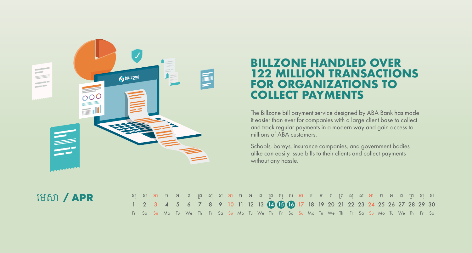

## **BILLZONE HANDLED OVER 122 MILLION TRANSACTIONS FOR ORGANIZATIONS TO COLLECT PAYMENTS**

The Billzone bill payment service designed by ABA Bank has made it easier than ever for companies with a large client base to collect and track regular payments in a modern way and gain access to millions of ABA customers.

Schools, boreys, insurance companies, and government bodies alike can easily issue bills to their clients and collect payments without any hassle.

### �មស / APR

|                                                                                  |  | សុសអា ច អ ព ព្រ សុ ស អា ច អ ព ព្រ សុ ស អា ច អ ព ព្រ សុ ស អា ច អ ព ព្រ សុ ស                |  |  |  |  |  |  |  |  |  |  |  |  |  |
|----------------------------------------------------------------------------------|--|-------------------------------------------------------------------------------------------|--|--|--|--|--|--|--|--|--|--|--|--|--|
| 1 2 3 4 5 6 7 8 9 10 11 12 13 12 13 13 17 18 19 20 21 22 23 24 25 26 27 28 29 30 |  |                                                                                           |  |  |  |  |  |  |  |  |  |  |  |  |  |
|                                                                                  |  | Fr Sa Su Mo Tu We Th Fr Sa Su Mo Tu We Th Fr Sa Su Mo Tu We Th Fr Sa Su Mo Tu We Th Fr Sa |  |  |  |  |  |  |  |  |  |  |  |  |  |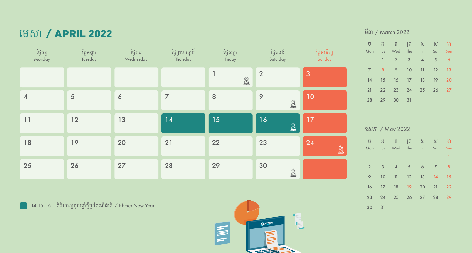## �មស / APRIL 2022

| ថ្ងៃចន្ទ<br>Monday      | ថ្ងៃអង្គារ<br>Tuesday | ថ្ងៃពុធ<br>Wednesday | ថ្ងៃព្រហស្បតិ៍<br>Thursday | ថ្ងៃសុក្រ<br>Friday | ថ្ងៃសៅរ៍<br>Saturday | ថ្ងៃអាទិត្យ<br>Sunday |
|-------------------------|-----------------------|----------------------|----------------------------|---------------------|----------------------|-----------------------|
|                         |                       |                      |                            | 1<br>$\bigoplus$    | $\overline{2}$       | 3                     |
| $\overline{\mathbf{A}}$ | 5                     | $\boldsymbol{6}$     | $\overline{7}$             | 8                   | 9<br>$\bigotimes$    | 10                    |
| 11                      | 12                    | 13                   | 14                         | 15                  | 16<br>$\bigcircledR$ | 17                    |
| 18                      | 19                    | 20                   | 21                         | 22                  | 23                   | 24<br>B               |
| 25                      | 26                    | 27                   | 28                         | 29                  | 30<br>$\bigotimes$   |                       |

ា4-15-16 ពិធីបុណ្យចូលឆ្នាំថ្មីប្រពៃណីជាតិ */* Khmer New Year  $\blacksquare$ 



#### មីនា */ M*arch 2022

|    | ប អ ព ព្រ សុ ស អា<br>Mon Tue Wed Thu Fri Sat Sun |  |  |
|----|--------------------------------------------------|--|--|
|    |                                                  |  |  |
|    | $1 \qquad 2 \qquad 3 \qquad 4 \qquad 5 \qquad 6$ |  |  |
|    | 7 8 9 10 11 12 13                                |  |  |
|    | 14 15 16 17 18 19 20                             |  |  |
|    | 21  22  23  24  25  26  27                       |  |  |
| 28 | 29 30 31                                         |  |  |

#### ច អ ព �ព សុ ស អ ឧសភ / May 2022

|                 |                         | Mon Tue Wed Thu Fri Sat Sun |  |                            |
|-----------------|-------------------------|-----------------------------|--|----------------------------|
|                 |                         |                             |  | 1                          |
| $\overline{2}$  | $\overline{\mathbf{3}}$ | 4 5 6 7                     |  | $\overline{\phantom{0}}$ 8 |
| 9               | 10                      | 11 12 13 14 15              |  |                            |
| 16              |                         | 17 18 19 20 21 22           |  |                            |
| 23 <sup>2</sup> |                         | 24 25 26 27 28 29           |  |                            |
| 30              | 31                      |                             |  |                            |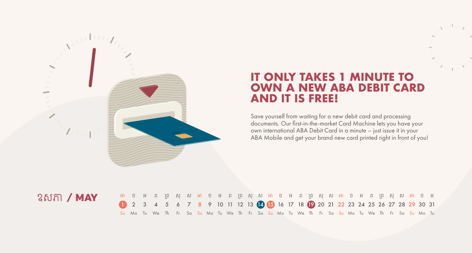

## **IT ONLY TAKES 1 MINUTE TO OWN A NEW ABA DEBIT CARD AND IT IS FREE!**

Save yourself from waiting for a new debit card and processing documents. Our first-in-the-market Card Machine lets you have your own international ABA Debit Card in a minute – just issue it in your ABA Mobile and get your brand new card printed right in front of you!

### ឧសភ / MAY

|                                                                                   |  | អា ច អ ព ព្រ សុ ស អា ច អ ព ព្រ សុ ស អា ព ព្រ សុ ស អា ច អ ព ព្រ សុ ស អា ច អ                   |  |  |  |  |  |  |  |  |  |  |  |  |  |  |
|-----------------------------------------------------------------------------------|--|----------------------------------------------------------------------------------------------|--|--|--|--|--|--|--|--|--|--|--|--|--|--|
| 2 3 4 5 6 7 8 9 10 11 12 13 14 15 16 17 18 19 20 21 22 23 24 25 26 27 28 29 30 31 |  |                                                                                              |  |  |  |  |  |  |  |  |  |  |  |  |  |  |
|                                                                                   |  | Su Mo Tu We Th Fr Sa Su Mo Tu We Th Fr Sa Su Mo Tu We Th Fr Sa Su Mo Tu We Th Fr Sa Su Mo Tu |  |  |  |  |  |  |  |  |  |  |  |  |  |  |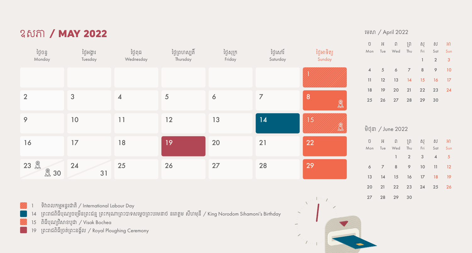## ឧសភ / MAY 2022

| ថ្ងៃចន្ទ<br>Monday  | ថ្ងៃអង្គារ<br>Tuesday | ថ្ងៃពុធ<br>Wednesday    | ថ្ងៃព្រហស្បតិ៍<br>Thursday | ថ្ងៃសុក្រ<br>Friday | ថ្ងៃសៅរ៍<br>Saturday | ថ្ងៃអាទិត្យ<br>Sunday                               |
|---------------------|-----------------------|-------------------------|----------------------------|---------------------|----------------------|-----------------------------------------------------|
|                     |                       |                         |                            |                     |                      |                                                     |
| $\overline{2}$      | 3                     | $\overline{\mathbf{A}}$ | 5                          | 6                   | $\overline{7}$       | $\overline{8}$<br>$\bigoplus\limits_{i=1}^{\infty}$ |
| 9                   | 10                    | 11                      | 12                         | 13                  | 14                   | 15<br>$\mathbb{R}$                                  |
| 16                  | 17                    | 18                      | 19                         | 20                  | 21                   | 22                                                  |
| 23 岛<br><b>图 30</b> | 24<br>31              | 25                      | 26                         | 27                  | 28                   | 29                                                  |

ទិវាពលកម្មអន្តរជាតិ / International Labour Day

14 ព្រះរាជពិធីបុណ្យចម្រើនព្រះជន្ម ព្រះករុណាព្រះបាទសម្ដេចព្រះបរមនាថ នរោត្ដម សីហមុនី / King Norodom Sihamoni's Birthday

15 ពិធីបុណ្យវិសាខបូជា / Visak Bochea

19 �ពះរ ជពិធី�ចត់�ពះនង្័ល / Royal Ploughing Ceremony



#### �មស / April 2022

|  | ប អ ព ព្រ សុ ស អា           |  |                     |  |
|--|-----------------------------|--|---------------------|--|
|  | Mon Tue Wed Thu Fri Sat Sun |  |                     |  |
|  |                             |  | $1 \quad 2 \quad 3$ |  |
|  | 4 5 6 7 8 9 10              |  |                     |  |
|  | 11 12 13 14 15 16 17        |  |                     |  |
|  | 18 19 20 21 22 23 24        |  |                     |  |
|  | 25 26 27 28 29 30           |  |                     |  |

#### មិថុនា */* June 2022

|  | ប អ ព ព្រ សុ ស អា           |                                     |  |
|--|-----------------------------|-------------------------------------|--|
|  | Mon Tue Wed Thu Fri Sat Sun |                                     |  |
|  |                             | $1 \quad 2 \quad 3 \quad 4 \quad 5$ |  |
|  | 6 7 8 9 10 11 12            |                                     |  |
|  | 13 14 15 16 17 18 19        |                                     |  |
|  | 20 21 22 23 24 25 26        |                                     |  |
|  | 27 28 29 30                 |                                     |  |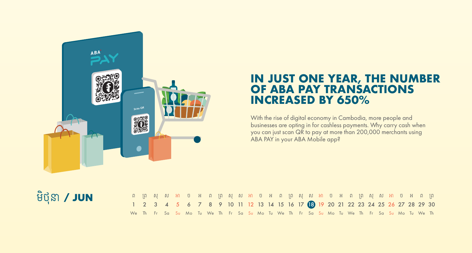

### **IN JUST ONE YEAR, THE NUMBER OF ABA PAY TRANSACTIONS INCREASED BY 650%**

With the rise of digital economy in Cambodia, more people and businesses are opting in for cashless payments. Why carry cash when you can just scan QR to pay at more than 200,000 merchants using ABA PAY in your ABA Mobile app?

## មិថុនា **/ JUN**

| IN IN AN BANDAN IN ANG ANG ANG ANG ANG ANG ANG ANG A                                                           |  |  |  |  |  |  |  |  |  |  |  |  |  |  |  |
|----------------------------------------------------------------------------------------------------------------|--|--|--|--|--|--|--|--|--|--|--|--|--|--|--|
| 1 2 3 4 5 6 7 8 9 10 11 12 13 14 15 16 17 18 19 20 21 22 23 24 25 26 27 28 29 30                               |  |  |  |  |  |  |  |  |  |  |  |  |  |  |  |
| We The Frestan Sun Mon Tun We The Frestan Sun Mon Tun We The Frestan Sun Mon Tun Mon Tun We The Mon Tun We The |  |  |  |  |  |  |  |  |  |  |  |  |  |  |  |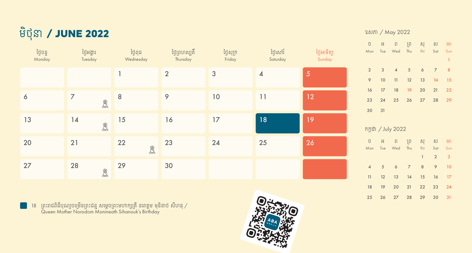

| ថ្ងៃចន្ទ<br>Monday | ថ្ងៃអង្គារ<br>Tuesday                         | ថ្ងៃពុធ<br>Wednesday | ថ្ងៃព្រហស្បតិ៍<br>Thursday | ថ្ងៃសុក្រ<br>Friday | ថ្ងៃសៅរ៍<br>Saturday    | ថ្ងៃអាទិត្យ<br>Sunday |
|--------------------|-----------------------------------------------|----------------------|----------------------------|---------------------|-------------------------|-----------------------|
|                    |                                               |                      | $\overline{2}$             | 3                   | $\overline{\mathbf{4}}$ | $\overline{5}$        |
| 6                  | $\overline{7}$<br>$\bigotimes$                | $\bf 8$              | $\mathcal{P}$              | $10$                | 11                      | 12                    |
| 13                 | 14<br>$\textcircled{\ensuremath{\mathbb{R}}}$ | 15                   | 16                         | 17                  | 18                      | 19                    |
| 20                 | 21                                            | 22<br>$\bigoplus$    | 23                         | 24                  | 25                      | 26                    |
| 27                 | 28<br>$\mathbb{R}$                            | 29                   | 30                         |                     |                         |                       |

18 ព្រះរាជពិធីបុណ្យចម្រើនព្រះជន្ម សម្ដេចព្រះមហាក្សត្រី នរោត្ដម មុនិនាថ សីហនុ / Queen Mother Norodom Monineath Sihanouk's Birthday



#### ឧសភ / May 2022

| ΰ              | Ħ               | $\Box$             |                 | ព្រ សុ          | ស              | អា           |  |
|----------------|-----------------|--------------------|-----------------|-----------------|----------------|--------------|--|
| Mon            |                 | Tue Wed            |                 | Thu Fri         | Sat            | Sun          |  |
|                |                 |                    |                 |                 |                | $\mathbf{1}$ |  |
| $\overline{2}$ | $\overline{3}$  | $\overline{4}$     | $5\overline{5}$ | 6               | $\overline{7}$ | 8            |  |
| 9              | 10              | 11                 | 12              | 13              | 14             | 15           |  |
| 16             | 17              | 18                 | 19              | 20 <sub>2</sub> | 21             | 22           |  |
| 23             | 24              | 25                 | 26              | 27              | 28             | 29           |  |
| 30             | 31              |                    |                 |                 |                |              |  |
|                |                 |                    |                 |                 |                |              |  |
|                |                 | កក្កដា / July 2022 |                 |                 |                |              |  |
| ΰ              | Ħ               | ្រា                | ្រ្រា           | ិស្             | ស              | អា           |  |
| Mon            |                 | Tue Wed            | Thu             | Fri             | Sat            | Sun          |  |
|                |                 |                    |                 | $\overline{1}$  | $\overline{2}$ | 3            |  |
| $\overline{4}$ | $5\overline{5}$ | 6                  | $\overline{7}$  | 8               | 9              | 10           |  |
| 11             | 12              | 13                 | 14              | 15              | 16             | 17           |  |
| 18             | 19              | 20                 | 21              | 22              | 23             | 24           |  |

25 26 27 28 29 30 31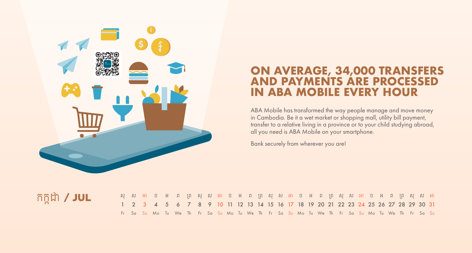

## **ON AVERAGE, 34,000 TRANSFERS AND PAYMENTS ARE PROCESSED IN ABA MOBILE EVERY HOUR**

ABA Mobile has transformed the way people manage and move money in Cambodia. Be it a wet market or shopping mall, utility bill payment, transfer to a relative living in a province or to your child studying abroad, all you need is ABA Mobile on your smartphone.

Bank securely from wherever you are!

## កក្កដា / JUL

|  |  |  | សុ ស អា ច អ ព ព្រ សុ ស អា ច អ ព ព្រ សុ ស អា ច អ ព ព្រ សុ ស អា ច អ ព ព្រ សុ ស អា              |  |  |  |  |  |  |  |  |  |  |  |  |  |
|--|--|--|----------------------------------------------------------------------------------------------|--|--|--|--|--|--|--|--|--|--|--|--|--|
|  |  |  | 1 2 3 4 5 6 7 8 9 10 11 12 13 14 15 16 17 18 19 20 21 22 23 24 25 26 27 28 29 30 31          |  |  |  |  |  |  |  |  |  |  |  |  |  |
|  |  |  | Fr Sa Su Mo Tu We Th Fr Sa Su Mo Tu We Th Fr Sa Su Mo Tu We Th Fr Sa Su Mo Tu We Th Fr Sa Su |  |  |  |  |  |  |  |  |  |  |  |  |  |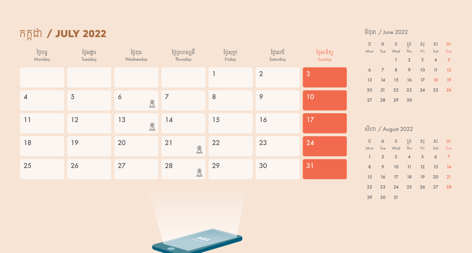## កក្កដា / JULY 2022

| ថ្ងៃចន្ទ<br>Monday       | ថ្ងៃអង្គារ<br>Tuesday | ថ្ងៃពុធ<br>Wednesday            | ថ្ងៃព្រហស្បតិ៍<br>Thursday                    | ថ្ងៃសុក្រ<br>Friday | ថ្ងៃសៅរ៍<br>Saturday | ថ្ងៃអាទិត្យ<br>Sunday |
|--------------------------|-----------------------|---------------------------------|-----------------------------------------------|---------------------|----------------------|-----------------------|
|                          |                       |                                 |                                               | 1                   | $\overline{2}$       | 3                     |
| $\overline{\mathcal{A}}$ | 5                     | $\boldsymbol{6}$<br>$\bigoplus$ | $\overline{7}$                                | $\, 8$              | $\mathsf{\varphi}$   | 10                    |
| 11                       | 12                    | 13<br>$\bigotimes$              | 14                                            | 15                  | 16                   | 17                    |
| 18                       | 19                    | 20                              | 21<br>$\textcircled{\ensuremath{\mathbb{R}}}$ | 22                  | 23                   | 24                    |
| 25                       | 26                    | 27                              | 28<br>$\textcircled{\ensuremath{\mathbb{R}}}$ | 29                  | 30                   | 31                    |

Contract of the Contract of

#### មិថុនា */* June 2022

|   | ប៊ អ ព ព្រ ស្ ស អា          |                                                            |  |
|---|-----------------------------|------------------------------------------------------------|--|
|   | Mon Tue Wed Thu Fri Sat Sun |                                                            |  |
|   |                             | $\begin{array}{ccccccccc}\n1 & 2 & 3 & 4 & 5\n\end{array}$ |  |
| 6 | 7 8 9 10 11 12              |                                                            |  |
|   | 13 14 15 16 17 18 19        |                                                            |  |
|   | 20 21 22 23 24 25 26        |                                                            |  |
|   | 27 28 29 30                 |                                                            |  |

#### សីហ / August 2022

|          | ប៊ អ ព ព្រ ស្ ស អា          |  |  |
|----------|-----------------------------|--|--|
|          | Mon Tue Wed Thu Fri Sat Sun |  |  |
|          | $1 \t2 \t3 \t4 \t5 \t6 \t7$ |  |  |
|          | 8 9 10 11 12 13 14          |  |  |
|          | 15 16 17 18 19 20 21        |  |  |
|          | 22 23 24 25 26 27 28        |  |  |
| 29 30 31 |                             |  |  |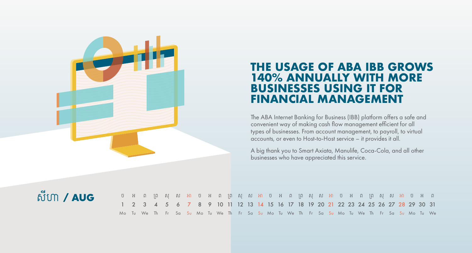

## **THE USAGE OF ABA IBB GROWS 140% ANNUALLY WITH MORE BUSINESSES USING IT FOR FINANCIAL MANAGEMENT**

The ABA Internet Banking for Business (IBB) platform offers a safe and convenient way of making cash flow management efficient for all types of businesses. From account management, to payroll, to virtual accounts, or even to Host-to-Host service – it provides it all.

A big thank you to Smart Axiata, Manulife, Coca-Cola, and all other businesses who have appreciated this service.

## សីហា **/ AUG**

|                                                                                     | o អ ព ព្រ ស អា o អ ព ព្រ ស ស អា o អ ព ព្រ ស ស អា o អ ព ព្រ ស ស អា o អ ព                      |  |  |  |  |  |  |  |  |  |  |  |  |  |  |
|-------------------------------------------------------------------------------------|----------------------------------------------------------------------------------------------|--|--|--|--|--|--|--|--|--|--|--|--|--|--|
| 1 2 3 4 5 6 7 8 9 10 11 12 13 14 15 16 17 18 19 20 21 22 23 24 25 26 27 28 29 30 31 |                                                                                              |  |  |  |  |  |  |  |  |  |  |  |  |  |  |
|                                                                                     | Mo Tu We Th Fr Sa Su Mo Tu We Th Fr Sa Su Mo Tu We Th Fr Sa Su Mo Tu We Th Fr Sa Su Mo Tu We |  |  |  |  |  |  |  |  |  |  |  |  |  |  |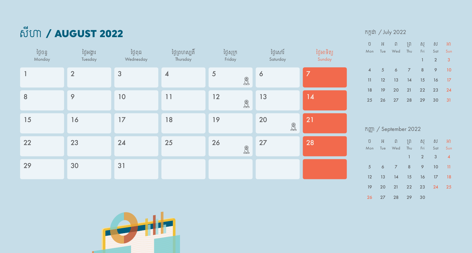# សីហា **/ AUGUST 2022**

| ថ្ងៃចន្ទ<br>Monday | ថ្ងៃអង្គារ<br>Tuesday | ថ្ងៃពុធ<br>Wednesday | ថ្ងៃព្រហស្បតិ៍<br>Thursday | ថ្ងៃសុក្រ<br>Friday                     | ថ្ងៃសៅរ៍<br>Saturday | ថ្ងៃអាទិត្យ<br>Sunday |
|--------------------|-----------------------|----------------------|----------------------------|-----------------------------------------|----------------------|-----------------------|
|                    | $\overline{2}$        | 3                    | $\overline{\mathcal{A}}$   | $\overline{5}$<br>$\mathbb{R}$          | $\boldsymbol{6}$     | $\overline{7}$        |
| 8                  | 9                     | $10$                 | 11                         | 12<br>$\bigoplus\limits_{i=1}^{\infty}$ | 13                   | 14                    |
| 15                 | 16                    | 17                   | 18                         | 19                                      | 20<br>$\bigoplus$    | 21                    |
| 22                 | 23                    | 24                   | 25                         | 26<br>$\bigotimes$                      | 27                   | 28                    |
| 29                 | 30                    | 31                   |                            |                                         |                      |                       |

#### កក្កដា */* July 2022

|                | ប អ ព ព្រ សុ ស អា           |  |                     |  |
|----------------|-----------------------------|--|---------------------|--|
|                | Mon Tue Wed Thu Fri Sat Sun |  |                     |  |
|                |                             |  | $1 \quad 2 \quad 3$ |  |
| $\overline{4}$ | 5 6 7 8 9 10                |  |                     |  |
|                | 11 12 13 14 15 16 17        |  |                     |  |
|                | 18 19 20 21 22 23 24        |  |                     |  |
|                | 25 26 27 28 29 30 31        |  |                     |  |

|     |     | 音(m) / September 2022 |              |                |     |                          |
|-----|-----|-----------------------|--------------|----------------|-----|--------------------------|
| ũ   | H.  | - ព                   | $\hat{I}$    | ស្             | ស   | អា                       |
| Mon | Tue | Wed                   | Thu          | - Fri          | Sat | Sun                      |
|     |     |                       | $\mathbf{1}$ | $\overline{2}$ | 3   | $\overline{\mathcal{A}}$ |
| 5   | 6   | $\overline{7}$        | 8            | 9              | 10  | 11                       |
| 12  | -13 | 14                    | 15           | 16             | 17  | 18                       |
| 19  | 20  | 21                    | 22 23        |                | 24  | 25                       |
| 26  | 27  | 28                    | 29           | 30             |     |                          |

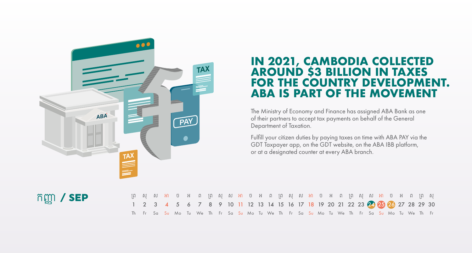

#### **IN 2021, CAMBODIA COLLECTED AROUND \$3 BILLION IN TAXES FOR THE COUNTRY DEVELOPMENT. ABA IS PART OF THE MOVEMENT** TAX **AROUND S3 BILLION IN TAXES**

The Ministry of Economy and Finance has assigned ABA Bank as one of their partners to accept tax payments on behalf of the General **PAY** Department of Taxation.

> Fulfill your citizen duties by paying taxes on time with ABA PAY via the GDT Taxpayer app, on the GDT website, on the ABA IBB platform, or at a designated counter at every ABA branch.

## កញ្ញា / SEP

|  |  | ព្រ សុ ស អា ច អ ព ព្រ សុ ស អា ច អ ព ព្រ សុ ស អា ច អ ព ព្រ សុ ស អា ច អ ព ព្រ សុ            |  |  |  |  |  |  |  |  |  |  |  |  |  |
|--|--|-------------------------------------------------------------------------------------------|--|--|--|--|--|--|--|--|--|--|--|--|--|
|  |  | 1 2 3 4 5 6 7 8 9 10 11 12 13 14 15 16 17 18 19 20 21 22 23 24 23 23 24 25 27 28 29 30    |  |  |  |  |  |  |  |  |  |  |  |  |  |
|  |  | Th Fr Sa Su Mo Tu We Th Fr Sa Su Mo Tu We Th Fr Sa Su Mo Tu We Th Fr Sa Su Mo Tu We Th Fr |  |  |  |  |  |  |  |  |  |  |  |  |  |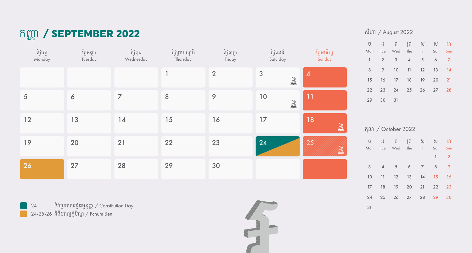## កញ្/ SEPTEMBER 2022

| ថ្ងៃចន្ទ<br>Monday | ថ្ងៃអង្គារ<br>Tuesday | ថ្ងៃពុធ<br>Wednesday | ថ្ងៃព្រហស្បតិ៍<br>Thursday | ថ្ងៃសុក្រ<br>Friday | ថ្ងៃសៅរ៍<br>Saturday           | ថ្ងៃអាទិត្យ<br>Sunday                         |
|--------------------|-----------------------|----------------------|----------------------------|---------------------|--------------------------------|-----------------------------------------------|
|                    |                       |                      | $\mathbf{1}$               | $\overline{2}$      | $\mathfrak{3}$<br>$\bigotimes$ | $\boldsymbol{4}$                              |
| 5                  | 6                     | $\overline{7}$       | 8                          | $\mathsf{\varphi}$  | 10<br>$\mathbb{R}$             | 11                                            |
| 12                 | 13                    | 14                   | 15                         | 16                  | 17                             | 18<br>$\bigotimes$                            |
| 19                 | 20                    | 21                   | 22                         | 23                  | 24                             | 25<br>$\textcircled{\ensuremath{\mathbb{R}}}$ |
| 26                 | 27                    | 28                   | 29                         | 30                  |                                |                                               |

 ទិវ �បក សរដ្ធម្នុញ្/ Constitution Day 24-25-26 ពិធីបុណ្យភ្ុំបិណ្/ Pchum Ben



#### សីហ / August 2022

| ΰ            | Ħ.             | $\Box$              |                | ព្រ សុ         | ស              | Я              |  |
|--------------|----------------|---------------------|----------------|----------------|----------------|----------------|--|
| Mon          |                | Tue Wed Thu         |                | Fri            | Sat            | Sun            |  |
| $\mathbb{I}$ | $\overline{2}$ | $\sqrt{3}$          | $\overline{4}$ | 5              | 6              | 7              |  |
| 8            | 9              | 10                  | 11             | 12             | 13             | 14             |  |
| 15           | 16             | 17                  | 18             | 19             | 20             | 21             |  |
| 22           |                | 23 24 25 26 27      |                |                |                | 28             |  |
| 29           | 30             | 31                  |                |                |                |                |  |
|              |                |                     |                |                |                |                |  |
|              |                |                     |                |                |                |                |  |
|              |                | តុលា / October 2022 |                |                |                |                |  |
| ΰ            |                | អ ព ព្រ សុ ស អា     |                |                |                |                |  |
| Mon          |                | Tue Wed Thu         |                | Fri            | Sat            | Sun            |  |
|              |                |                     |                |                | $\overline{1}$ | $\overline{2}$ |  |
| 3            | $\overline{4}$ | 5 <sup>5</sup>      | 6              | $\overline{7}$ | 8              | 9              |  |
| 10           | 11             |                     | 12 13 14       |                | 15             | 16             |  |
| 17           | 18             |                     | 19 20          |                | 21 22          | 23             |  |

25 26 27 28 29 30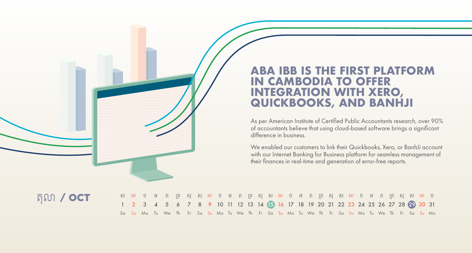### **ABA IBB IS THE FIRST PLATFORM IN CAMBODIA TO OFFER INTEGRATION WITH XERO, QUICKBOOKS, AND BANHJI**

As per American Institute of Certified Public Accountants research, over 90% of accountants believe that using cloud-based software brings a significant difference in business.

We enabled our customers to link their Quickbooks, Xero, or BanhJi account with our Internet Banking for Business platform for seamless management of their finances in real-time and generation of error-free reports.

តុល / OCT

|                                                                                                      |  | ស អា ច អ ព ព្រ សុ ស អា ច អ ព ព្រ សុ ស អា ច អ ព ព្រ សុ ស អា ច អ ព ព្រ សុ ស អា ច |  |  |  |  |  |  |  |  |  |  |  |  |  |
|------------------------------------------------------------------------------------------------------|--|--------------------------------------------------------------------------------|--|--|--|--|--|--|--|--|--|--|--|--|--|
| 1 2 3 4 5 6 7 8 9 10 11 12 13 14 15 16 17 18 19 20 21 22 23 24 25 26 27 28 29 30 31                  |  |                                                                                |  |  |  |  |  |  |  |  |  |  |  |  |  |
| Sa Su Mo Tu We Thi Fri Sa Su Mo Tu We Thi Fri Sa Su Mo Tu We Thi Fri Sa Su Mo Tu We Thi Fri Sa Su Mo |  |                                                                                |  |  |  |  |  |  |  |  |  |  |  |  |  |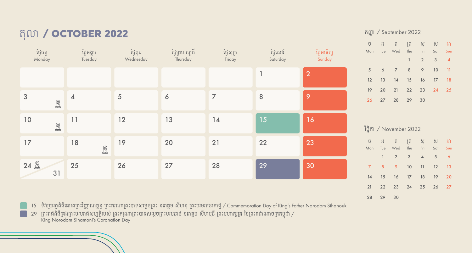## តុល / OCTOBER 2022

| ថ្ងៃចន្ទ<br>Monday                      | ថ្ងៃអង្គារ<br>Tuesday                   | ថ្ងៃពុធ<br>Wednesday | ថ្ងៃព្រហស្បតិ៍<br>Thursday | ថ្ងៃសុក្រ<br>Friday | ថ្ងៃសៅរ៍<br>Saturday | ថ្ងៃអាទិត្យ<br>Sunday |
|-----------------------------------------|-----------------------------------------|----------------------|----------------------------|---------------------|----------------------|-----------------------|
|                                         |                                         |                      |                            |                     | $\mathbf{1}$         | 2                     |
| 3<br>$\bigoplus$                        | $\overline{\mathcal{A}}$                | $\sqrt{5}$           | 6                          | $\overline{7}$      | $\, 8$               | 9                     |
| 10<br>$\bigoplus\limits_{i=1}^{\infty}$ | 11                                      | 12                   | 13                         | 14                  | 15                   | 16                    |
| 17                                      | 18<br>$\bigoplus\limits_{i=1}^{\infty}$ | 19                   | 20                         | 21                  | 22                   | 23                    |
| $24$ $\&$<br>31                         | 25                                      | 26                   | 27                         | 28                  | 29                   | 30                    |

15 ទិវាប្រារព្ធពិធីគោរពព្រះវិញ្ញាណក្ខន្ធ ព្រះករុណាព្រះបាទសម្តេចព្រះ នរោត្តម សីហនុ ព្រះបរមរតនកោដ្ឋ / Commemoration Day of King's Father Norodom Sihanouk

29 ព្រះរាជពិធីគ្រងព្រះបរមរាជសម្បត្តិរបស់ ព្រះករុណាព្រះបាទសម្តេចព្រះបរមនាថ នរោត្តម សីហមុនី ព្រះមហាក្សត្រ នៃព្រះរាជាណាចក្រកម្ពុជា / King Norodom Sihamoni's Coronation Day

#### កញ្/ September 2022

|                 | ប៊ អ ព ព្រ សុ ស អា          |                             |  |
|-----------------|-----------------------------|-----------------------------|--|
|                 | Mon Tue Wed Thu Fri Sat Sun |                             |  |
|                 |                             | $1 \quad 2 \quad 3 \quad 4$ |  |
| 5               | 6 7 8 9 10 11               |                             |  |
| 12              | 13 14 15 16 17 18           |                             |  |
|                 | 19 20 21 22 23 24 25        |                             |  |
| 26 <sup>2</sup> | 27 28 29                    | 30                          |  |

#### ច អ ព �ព សុ ស អ Mon Tue Wed Thu Fri Sat Sun វិច្ិក / November 2022 1 2 3 4 5 6 7 8 9 10 11 12 13 14 15 16 17 18 19 20 21 22 23 24 25 26 27 28 29 30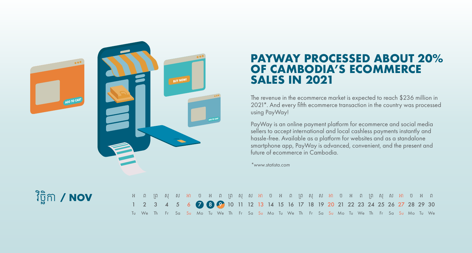

### **PAYWAY PROCESSED ABOUT 20% OF CAMBODIA'S ECOMMERCE SALES IN 2021**

The revenue in the ecommerce market is expected to reach \$236 million in 2021\*. And every fifth ecommerce transaction in the country was processed using PayWay!

PayWay is an online payment platform for ecommerce and social media sellers to accept international and local cashless payments instantly and hassle-free. Available as a platform for websites and as a standalone smartphone app, PayWay is advanced, convenient, and the present and future of ecommerce in Cambodia.

*\*www.statista.com*

## វិច្ិក / NOV

| ុ អ ព ព្រ សុ ស អា ច អ ព ព្រ សុ ស អា ច អ ព ព្រ សុ ស អា ប អ ព ព្រ សុ ស អា ច អ ព |                                                                                                   |  |  |  |  |  |  |  |  |  |  |  |  |  |  |
|-------------------------------------------------------------------------------|---------------------------------------------------------------------------------------------------|--|--|--|--|--|--|--|--|--|--|--|--|--|--|
|                                                                               | 1 2 3 4 5 6 7 8 9 10 11 12 13 14 15 16 17 18 19 20 21 22 23 24 25 26 27 28 29 30                  |  |  |  |  |  |  |  |  |  |  |  |  |  |  |
|                                                                               | Tu We The Fre Sa Su Mo Tu We The Fre Sa Su Mo Tu We The Fre Sa Su Mo Tu We The Fre Sa Su Mo Tu We |  |  |  |  |  |  |  |  |  |  |  |  |  |  |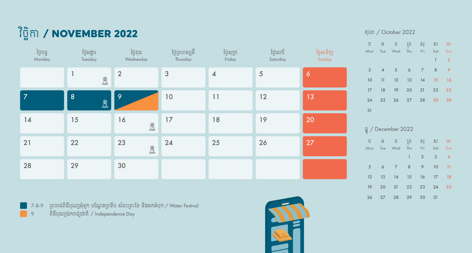

| ថ្ងៃចន្ទ<br>Monday | ថ្ងៃអង្គារ<br>Tuesday                        | ថ្ងៃពុធ<br>Wednesday                          | ថ្ងៃព្រហស្បតិ៍<br>Thursday | ថ្ងៃសុក្រ<br>Friday      | ថ្ងៃសៅរ៍<br>Saturday | ថ្ងៃអាទិត្យ<br>Sunday |
|--------------------|----------------------------------------------|-----------------------------------------------|----------------------------|--------------------------|----------------------|-----------------------|
|                    | 1<br>$\textcircled{\ensuremath{\mathbb{R}}}$ | $\overline{2}$                                | $\mathfrak{S}$             | $\overline{\mathcal{A}}$ | $\sqrt{5}$           | $\ddot{\mathbf{6}}$   |
| $\overline{7}$     | $\overline{8}$<br>$\mathbb{R}$               | 9                                             | 10                         | 11                       | 12                   | 13                    |
| 14                 | 15                                           | 16<br>$\textcircled{\ensuremath{\mathbb{R}}}$ | 17                         | $18$                     | 19                   | 20                    |
| 21                 | 22                                           | 23<br>$\textcircled{\ensuremath{\mathbb{R}}}$ | 24                         | 25                       | 26                   | 27                    |
| 28                 | 29                                           | 30                                            |                            |                          |                      |                       |

7-8-9  $\,$  ព្រះរាជពិធីបុណ្យអុំទូក បណ្តែតប្រទីប សំពះព្រះខែ និងអកអំបុក / Water Festival ពិធីបុណ្យឯករ ជ្យជ តិ/ Independence Day



#### តុល / October 2022

|                | ប អ ព ព្រ សុ ស អា           |  |              |                |
|----------------|-----------------------------|--|--------------|----------------|
|                | Mon Tue Wed Thu Fri Sat Sun |  |              |                |
|                |                             |  | $\mathbf{1}$ | $\overline{2}$ |
| 3 <sup>1</sup> | 4 5 6 7 8                   |  |              | 9              |
| 10             | 11 12 13 14 15 16           |  |              |                |
|                | 17 18 19 20 21 22           |  |              | 23             |
|                | 24  25  26  27  28  29      |  |              | 30             |
| 31             |                             |  |              |                |
|                |                             |  |              |                |
|                | ប៊្ន / December 2022        |  |              |                |
|                | ប អ ព ព្រ សុ ស អា           |  |              |                |

|  | 100 - 100 - 100 - 100 - 100 - 100 - 100 - 100 - 100 - 100 - 100 - 100 - 100 - 100 - 100 - 100 - 100 - 100 - 10 |                             |  |
|--|----------------------------------------------------------------------------------------------------------------|-----------------------------|--|
|  | Mon Tue Wed Thu Fri Sat Sun                                                                                    |                             |  |
|  |                                                                                                                | $1 \quad 2 \quad 3 \quad 4$ |  |
|  | 5 6 7 8 9 10 11                                                                                                |                             |  |
|  | 12  13  14  15  16  17  18                                                                                     |                             |  |
|  | 19 20 21 22 23 24 25                                                                                           |                             |  |
|  | 26 27 28 29 30 31                                                                                              |                             |  |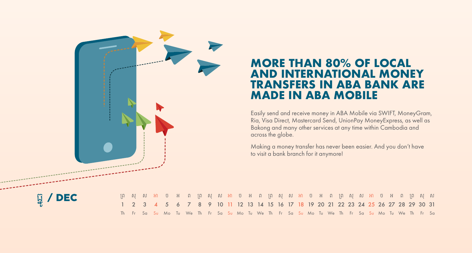

## **MORE THAN 80% OF LOCAL AND INTERNATIONAL MONEY TRANSFERS IN ABA BANK ARE MADE IN ABA MOBILE**

Easily send and receive money in ABA Mobile via SWIFT, MoneyGram, Ria, Visa Direct, Mastercard Send, UnionPay MoneyExpress, as well as Bakong and many other services at any time within Cambodia and across the globe.

Making a money transfer has never been easier. And you don't have to visit a bank branch for it anymore!



| ុព្រសុសអា ច អ ព ព្រ សុ ស អា ច អ ព ព្រ សុ ស អា ច អ ព ព្រ សុ ស អា ច អ ព ព្រ សុ ស               |  |  |  |  |  |  |  |  |  |  |  |  |  |  |  |
|----------------------------------------------------------------------------------------------|--|--|--|--|--|--|--|--|--|--|--|--|--|--|--|
| 1 2 3 4 5 6 7 8 9 10 11 12 13 14 15 16 17 18 19 20 21 22 23 24 25 26 27 28 29 30 31          |  |  |  |  |  |  |  |  |  |  |  |  |  |  |  |
| Th Fr Sa Su Mo Tu We Th Fr Sa Su Mo Tu We Th Fr Sa Su Mo Tu We Th Fr Sa Su Mo Tu We Th Fr Sa |  |  |  |  |  |  |  |  |  |  |  |  |  |  |  |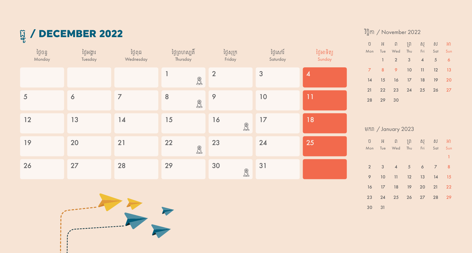# ធ្ូ/ DECEMBER 2022

| ថ្ងៃចន្ទ<br>Monday | ថ្ងៃអង្គារ<br>Tuesday | ថ្ងៃពុធ<br>Wednesday | ថ្ងៃព្រហស្បតិ៍<br>Thursday | ថ្ងៃសុក្រ<br>Friday                           | ថ្ងៃសៅរ៍<br>Saturday | ថ្ងៃអាទិត្យ<br>Sunday |
|--------------------|-----------------------|----------------------|----------------------------|-----------------------------------------------|----------------------|-----------------------|
|                    |                       |                      | $\bigcircled{3}$           | $\overline{2}$                                | $\mathfrak{3}$       | $\boldsymbol{4}$      |
| 5                  | $\boldsymbol{6}$      | $\overline{7}$       | $\, 8$<br>$\bigoplus$      | 9                                             | $10$                 | 11                    |
| 12                 | 13                    | 14                   | 15                         | 16<br>$\textcircled{\ensuremath{\mathbb{R}}}$ | 17                   | 18                    |
| 19                 | 20                    | 21                   | 22<br>$\bigotimes$         | 23                                            | 24                   | 25                    |
| 26                 | 27                    | 28                   | 29                         | 30<br>$\bigotimes$                            | 31                   |                       |



#### វិច្ិក / November 2022

|    |          | ប៊ អ ព ព្រ ស្ ស អា                               |  |  |
|----|----------|--------------------------------------------------|--|--|
|    |          | Mon Tue Wed Thu Fri Sat Sun                      |  |  |
|    |          | $1 \qquad 2 \qquad 3 \qquad 4 \qquad 5 \qquad 6$ |  |  |
|    |          | 7 8 9 10 11 12 13                                |  |  |
|    |          | 14   15   16   17   18   19   20                 |  |  |
| 21 |          | 22 23 24 25 26 27                                |  |  |
|    | 28 29 30 |                                                  |  |  |

|             |                         | មករា / January 2023         |       |                  |                |                |
|-------------|-------------------------|-----------------------------|-------|------------------|----------------|----------------|
|             |                         | $\tilde{U}$ $H$ $\tilde{U}$ | ្រក្រ | ិស្              |                | ស អា           |
|             |                         | Mon Tue Wed Thu Fri Sat Sun |       |                  |                |                |
|             |                         |                             |       |                  |                | 1              |
| $2^{\circ}$ | $\overline{\mathbf{3}}$ | 4 5 6 7                     |       |                  |                | 8 <sup>°</sup> |
| 9           | 10                      |                             |       | $11 \t 12 \t 13$ | $\frac{14}{2}$ | 15             |
| 16          | 17 <sup>7</sup>         |                             |       | 18 19 20 21      |                | 22             |
| 23          |                         | 24 25 26 27 28              |       |                  |                | 29             |

31